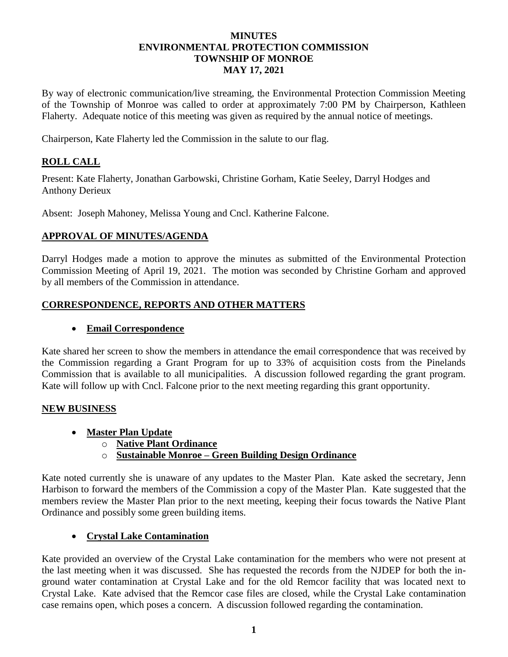#### **MINUTES ENVIRONMENTAL PROTECTION COMMISSION TOWNSHIP OF MONROE MAY 17, 2021**

By way of electronic communication/live streaming, the Environmental Protection Commission Meeting of the Township of Monroe was called to order at approximately 7:00 PM by Chairperson, Kathleen Flaherty. Adequate notice of this meeting was given as required by the annual notice of meetings.

Chairperson, Kate Flaherty led the Commission in the salute to our flag.

### **ROLL CALL**

Present: Kate Flaherty, Jonathan Garbowski, Christine Gorham, Katie Seeley, Darryl Hodges and Anthony Derieux

Absent: Joseph Mahoney, Melissa Young and Cncl. Katherine Falcone.

### **APPROVAL OF MINUTES/AGENDA**

Darryl Hodges made a motion to approve the minutes as submitted of the Environmental Protection Commission Meeting of April 19, 2021. The motion was seconded by Christine Gorham and approved by all members of the Commission in attendance.

### **CORRESPONDENCE, REPORTS AND OTHER MATTERS**

### • **Email Correspondence**

Kate shared her screen to show the members in attendance the email correspondence that was received by the Commission regarding a Grant Program for up to 33% of acquisition costs from the Pinelands Commission that is available to all municipalities. A discussion followed regarding the grant program. Kate will follow up with Cncl. Falcone prior to the next meeting regarding this grant opportunity.

### **NEW BUSINESS**

- **Master Plan Update**
	- o **Native Plant Ordinance**
	- o **Sustainable Monroe – Green Building Design Ordinance**

Kate noted currently she is unaware of any updates to the Master Plan. Kate asked the secretary, Jenn Harbison to forward the members of the Commission a copy of the Master Plan. Kate suggested that the members review the Master Plan prior to the next meeting, keeping their focus towards the Native Plant Ordinance and possibly some green building items.

# • **Crystal Lake Contamination**

Kate provided an overview of the Crystal Lake contamination for the members who were not present at the last meeting when it was discussed. She has requested the records from the NJDEP for both the inground water contamination at Crystal Lake and for the old Remcor facility that was located next to Crystal Lake. Kate advised that the Remcor case files are closed, while the Crystal Lake contamination case remains open, which poses a concern. A discussion followed regarding the contamination.